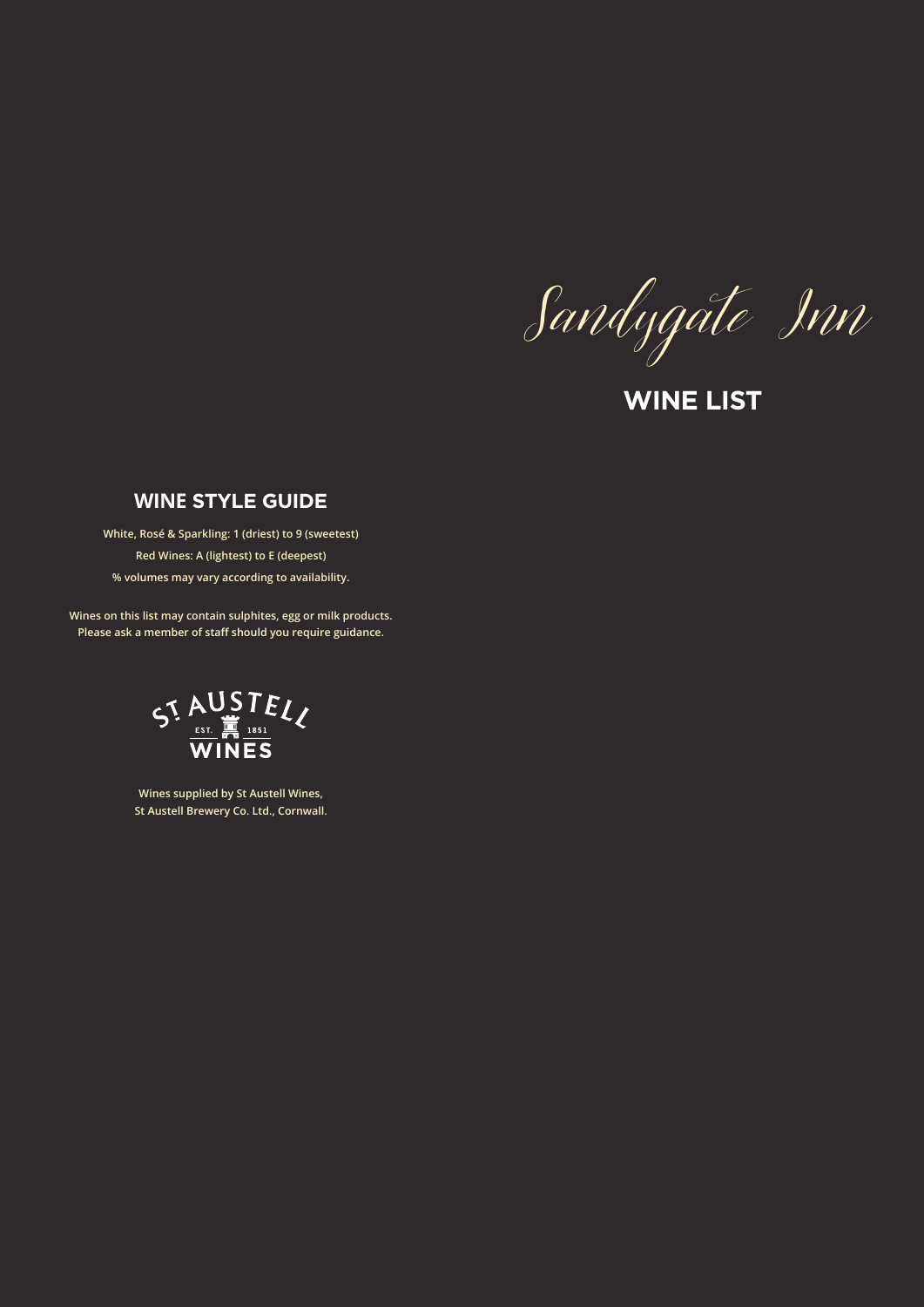Sandygate Inn

**WINE LIST**

## **WINE STYLE GUIDE**

**White, Rosé & Sparkling: 1 (driest) to 9 (sweetest) Red Wines: A (lightest) to E (deepest) % volumes may vary according to availability.**

**Wines on this list may contain sulphites, egg or milk products. Please ask a member of staff should you require guidance.**



**Wines supplied by St Austell Wines, St Austell Brewery Co. Ltd., Cornwall.**